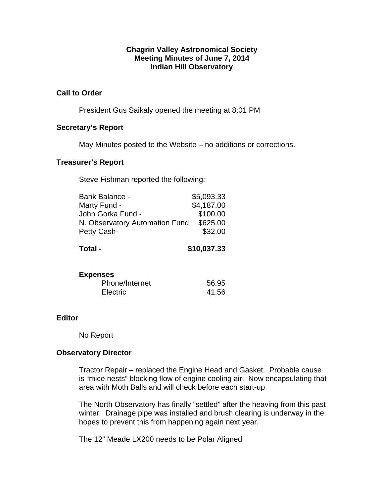## **Chagrin Valley Astronomical Society Meeting Minutes of June 7, 2014 Indian Hill Observatory**

## **Call to Order**

President Gus Saikaly opened the meeting at 8:01 PM

## **Secretary's Report**

May Minutes posted to the Website – no additions or corrections.

## **Treasurer's Report**

Steve Fishman reported the following:

| <b>Bank Balance -</b>          | \$5,093.33 |
|--------------------------------|------------|
| Marty Fund -                   | \$4,187.00 |
| John Gorka Fund -              | \$100.00   |
| N. Observatory Automation Fund | \$625.00   |
| Petty Cash-                    | \$32.00    |
|                                |            |

# **Total - \$10,037.33**

#### **Expenses**

| Phone/Internet | 56.95 |
|----------------|-------|
| Electric       | 41.56 |

## **Editor**

No Report

### **Observatory Director**

Tractor Repair – replaced the Engine Head and Gasket. Probable cause is "mice nests" blocking flow of engine cooling air. Now encapsulating that area with Moth Balls and will check before each start-up

The North Observatory has finally "settled" after the heaving from this past winter. Drainage pipe was installed and brush clearing is underway in the hopes to prevent this from happening again next year.

The 12" Meade LX200 needs to be Polar Aligned